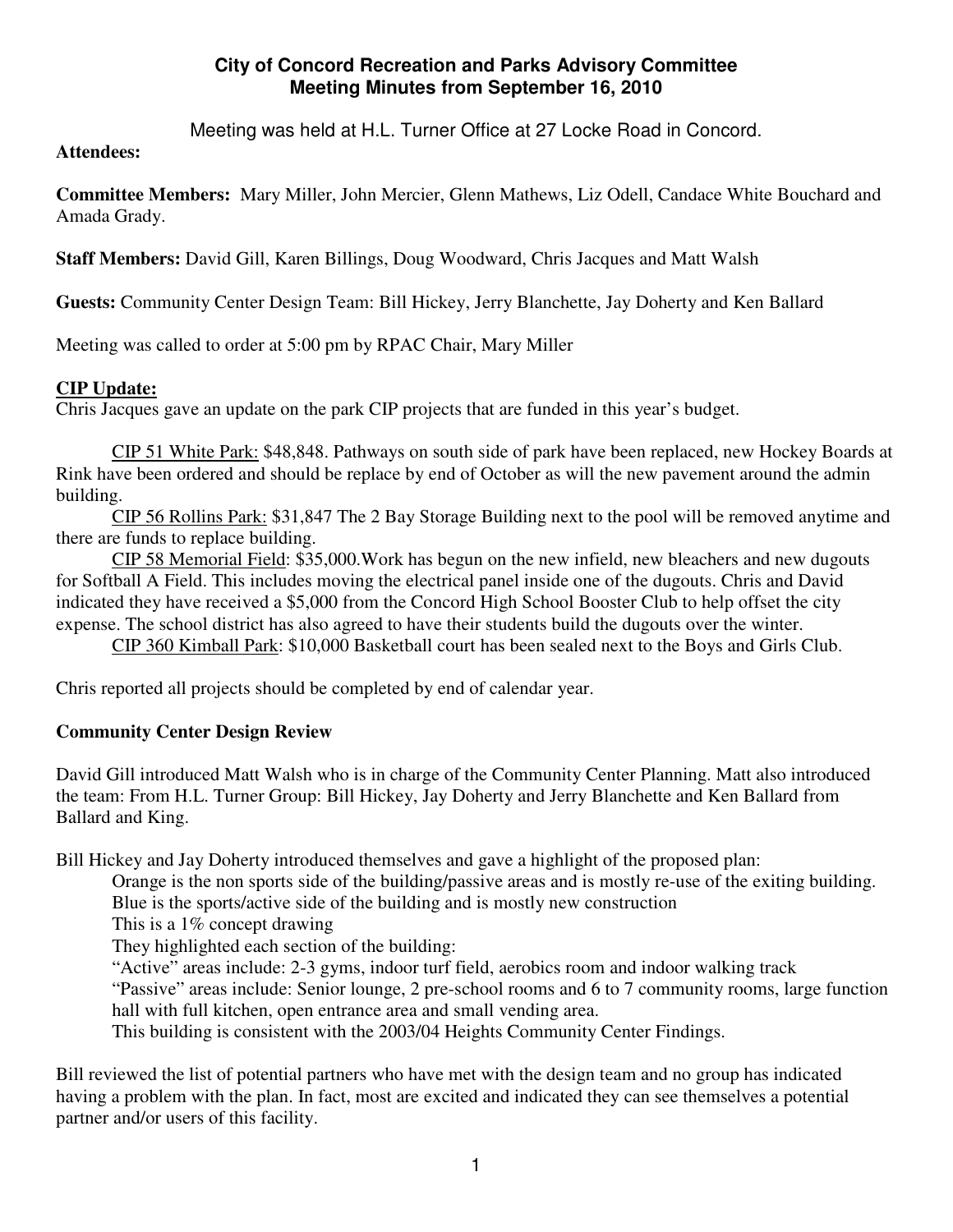## **City of Concord Recreation and Parks Advisory Committee Meeting Minutes from September 16, 2010**

Meeting was held at H.L. Turner Office at 27 Locke Road in Concord.

#### **Attendees:**

**Committee Members:** Mary Miller, John Mercier, Glenn Mathews, Liz Odell, Candace White Bouchard and Amada Grady.

**Staff Members:** David Gill, Karen Billings, Doug Woodward, Chris Jacques and Matt Walsh

**Guests:** Community Center Design Team: Bill Hickey, Jerry Blanchette, Jay Doherty and Ken Ballard

Meeting was called to order at 5:00 pm by RPAC Chair, Mary Miller

## **CIP Update:**

Chris Jacques gave an update on the park CIP projects that are funded in this year's budget.

CIP 51 White Park: \$48,848. Pathways on south side of park have been replaced, new Hockey Boards at Rink have been ordered and should be replace by end of October as will the new pavement around the admin building.

CIP 56 Rollins Park: \$31,847 The 2 Bay Storage Building next to the pool will be removed anytime and there are funds to replace building.

CIP 58 Memorial Field: \$35,000.Work has begun on the new infield, new bleachers and new dugouts for Softball A Field. This includes moving the electrical panel inside one of the dugouts. Chris and David indicated they have received a \$5,000 from the Concord High School Booster Club to help offset the city expense. The school district has also agreed to have their students build the dugouts over the winter.

CIP 360 Kimball Park: \$10,000 Basketball court has been sealed next to the Boys and Girls Club.

Chris reported all projects should be completed by end of calendar year.

# **Community Center Design Review**

David Gill introduced Matt Walsh who is in charge of the Community Center Planning. Matt also introduced the team: From H.L. Turner Group: Bill Hickey, Jay Doherty and Jerry Blanchette and Ken Ballard from Ballard and King.

Bill Hickey and Jay Doherty introduced themselves and gave a highlight of the proposed plan:

Orange is the non sports side of the building/passive areas and is mostly re-use of the exiting building. Blue is the sports/active side of the building and is mostly new construction

This is a 1% concept drawing

They highlighted each section of the building:

"Active" areas include: 2-3 gyms, indoor turf field, aerobics room and indoor walking track

"Passive" areas include: Senior lounge, 2 pre-school rooms and 6 to 7 community rooms, large function hall with full kitchen, open entrance area and small vending area.

This building is consistent with the 2003/04 Heights Community Center Findings.

Bill reviewed the list of potential partners who have met with the design team and no group has indicated having a problem with the plan. In fact, most are excited and indicated they can see themselves a potential partner and/or users of this facility.